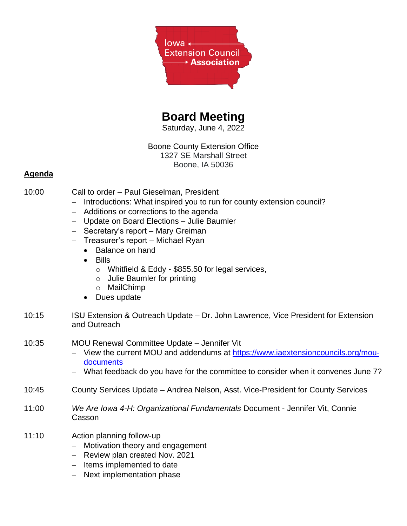

# **Board Meeting**

Saturday, June 4, 2022

# Boone County Extension Office 1327 SE Marshall Street Boone, IA 50036

## **Agenda**

- 10:00 Call to order Paul Gieselman, President
	- − Introductions: What inspired you to run for county extension council?
	- − Additions or corrections to the agenda
	- − Update on Board Elections Julie Baumler
	- − Secretary's report Mary Greiman
	- − Treasurer's report Michael Ryan
		- Balance on hand
		- Bills
			- o Whitfield & Eddy \$855.50 for legal services,
			- o Julie Baumler for printing
			- o MailChimp
		- Dues update
- 10:15 ISU Extension & Outreach Update Dr. John Lawrence, Vice President for Extension and Outreach

#### 10:35 MOU Renewal Committee Update – Jennifer Vit

- − View the current MOU and addendums at [https://www.iaextensioncouncils.org/mou](https://www.iaextensioncouncils.org/mou-documents)[documents](https://www.iaextensioncouncils.org/mou-documents)
- − What feedback do you have for the committee to consider when it convenes June 7?
- 10:45 County Services Update Andrea Nelson, Asst. Vice-President for County Services
- 11:00 *We Are Iowa 4-H: Organizational Fundamentals* Document Jennifer Vit, Connie Casson
- 11:10 Action planning follow-up
	- − Motivation theory and engagement
	- − Review plan created Nov. 2021
	- − Items implemented to date
	- − Next implementation phase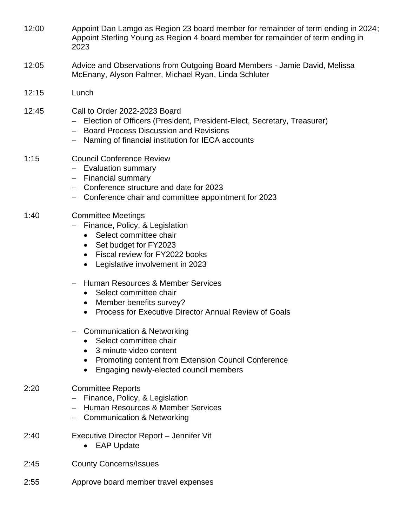- 12:00 Appoint Dan Lamgo as Region 23 board member for remainder of term ending in 2024; Appoint Sterling Young as Region 4 board member for remainder of term ending in 2023
- 12:05 Advice and Observations from Outgoing Board Members Jamie David, Melissa McEnany, Alyson Palmer, Michael Ryan, Linda Schluter
- 12:15 Lunch
- 12:45 Call to Order 2022-2023 Board
	- − Election of Officers (President, President-Elect, Secretary, Treasurer)
	- − Board Process Discussion and Revisions
	- − Naming of financial institution for IECA accounts
- 1:15 Council Conference Review
	- − Evaluation summary
	- − Financial summary
	- − Conference structure and date for 2023
	- − Conference chair and committee appointment for 2023

## 1:40 Committee Meetings

- − Finance, Policy, & Legislation
	- Select committee chair
	- Set budget for FY2023
	- Fiscal review for FY2022 books
	- Legislative involvement in 2023
- − Human Resources & Member Services
	- Select committee chair
	- Member benefits survey?
	- Process for Executive Director Annual Review of Goals
- − Communication & Networking
	- Select committee chair
	- 3-minute video content
	- Promoting content from Extension Council Conference
	- Engaging newly-elected council members

# 2:20 Committee Reports

- − Finance, Policy, & Legislation
- − Human Resources & Member Services
- − Communication & Networking
- 2:40 Executive Director Report Jennifer Vit
	- EAP Update
- 2:45 County Concerns/Issues
- 2:55 Approve board member travel expenses